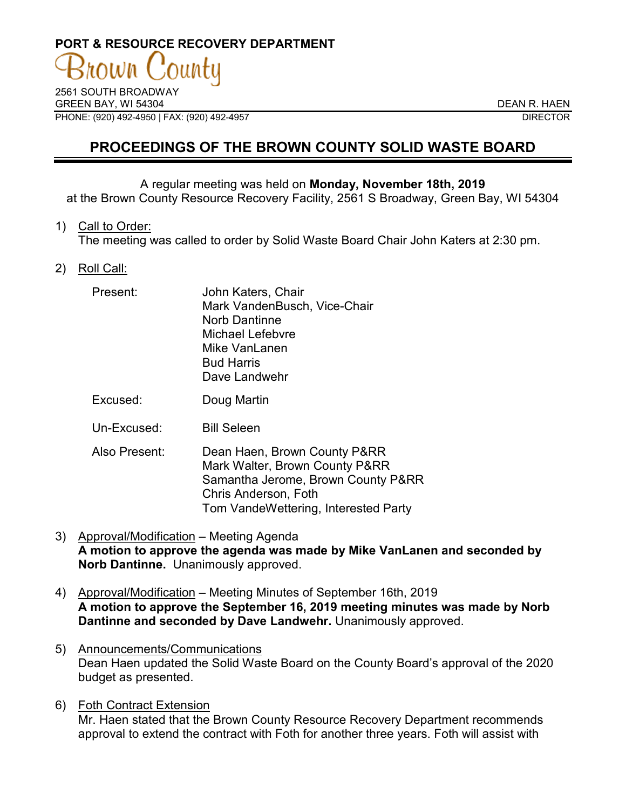# **PORT & RESOURCE RECOVERY DEPARTMENT OWN**

2561 SOUTH BROADWAY GREEN BAY, WI 54304 DEAN R. HAEN PHONE: (920) 492-4950 | FAX: (920) 492-4957 DIRECTOR

## **PROCEEDINGS OF THE BROWN COUNTY SOLID WASTE BOARD**

#### A regular meeting was held on **Monday, November 18th, 2019** at the Brown County Resource Recovery Facility, 2561 S Broadway, Green Bay, WI 54304

1) Call to Order:

The meeting was called to order by Solid Waste Board Chair John Katers at 2:30 pm.

2) Roll Call:

| Present:      | John Katers, Chair<br>Mark VandenBusch, Vice-Chair<br>Norb Dantinne<br>Michael Lefebvre<br>Mike VanLanen<br><b>Bud Harris</b><br>Dave Landwehr |
|---------------|------------------------------------------------------------------------------------------------------------------------------------------------|
| Excused:      | Doug Martin                                                                                                                                    |
| Un-Excused:   | <b>Bill Seleen</b>                                                                                                                             |
| Also Present: | Dean Haen, Brown County P&RR<br>Mark Walter, Brown County P&RR                                                                                 |

- Mark Walter, Brown County P&RR Samantha Jerome, Brown County P&RR Chris Anderson, Foth Tom VandeWettering, Interested Party
- 3) Approval/Modification Meeting Agenda **A motion to approve the agenda was made by Mike VanLanen and seconded by Norb Dantinne.** Unanimously approved.
- 4) Approval/Modification Meeting Minutes of September 16th, 2019 **A motion to approve the September 16, 2019 meeting minutes was made by Norb Dantinne and seconded by Dave Landwehr.** Unanimously approved.
- 5) Announcements/Communications Dean Haen updated the Solid Waste Board on the County Board's approval of the 2020 budget as presented.
- 6) Foth Contract Extension Mr. Haen stated that the Brown County Resource Recovery Department recommends approval to extend the contract with Foth for another three years. Foth will assist with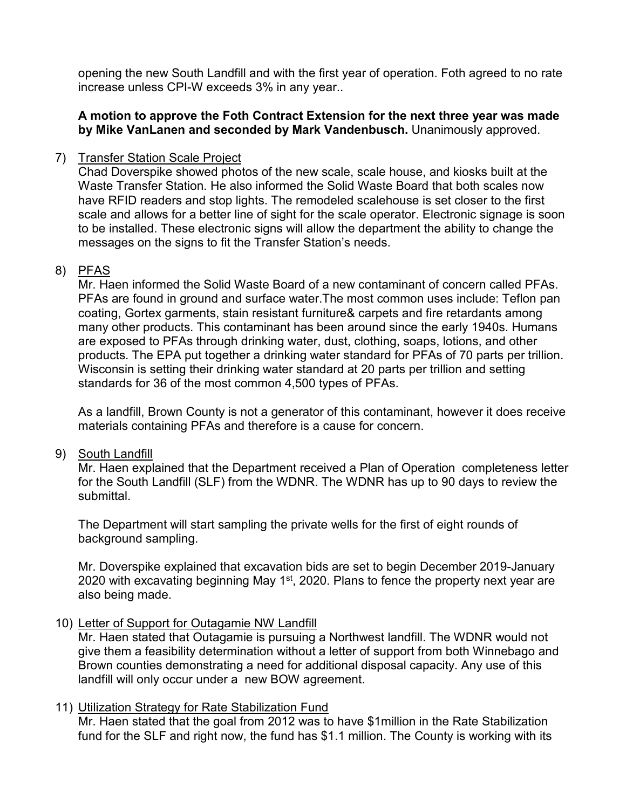opening the new South Landfill and with the first year of operation. Foth agreed to no rate increase unless CPI-W exceeds 3% in any year..

#### **A motion to approve the Foth Contract Extension for the next three year was made by Mike VanLanen and seconded by Mark Vandenbusch.** Unanimously approved.

#### 7) Transfer Station Scale Project

Chad Doverspike showed photos of the new scale, scale house, and kiosks built at the Waste Transfer Station. He also informed the Solid Waste Board that both scales now have RFID readers and stop lights. The remodeled scalehouse is set closer to the first scale and allows for a better line of sight for the scale operator. Electronic signage is soon to be installed. These electronic signs will allow the department the ability to change the messages on the signs to fit the Transfer Station's needs.

#### 8) PFAS

Mr. Haen informed the Solid Waste Board of a new contaminant of concern called PFAs. PFAs are found in ground and surface water.The most common uses include: Teflon pan coating, Gortex garments, stain resistant furniture& carpets and fire retardants among many other products. This contaminant has been around since the early 1940s. Humans are exposed to PFAs through drinking water, dust, clothing, soaps, lotions, and other products. The EPA put together a drinking water standard for PFAs of 70 parts per trillion. Wisconsin is setting their drinking water standard at 20 parts per trillion and setting standards for 36 of the most common 4,500 types of PFAs.

As a landfill, Brown County is not a generator of this contaminant, however it does receive materials containing PFAs and therefore is a cause for concern.

### 9) South Landfill

Mr. Haen explained that the Department received a Plan of Operation completeness letter for the South Landfill (SLF) from the WDNR. The WDNR has up to 90 days to review the submittal.

The Department will start sampling the private wells for the first of eight rounds of background sampling.

Mr. Doverspike explained that excavation bids are set to begin December 2019-January 2020 with excavating beginning May  $1<sup>st</sup>$ , 2020. Plans to fence the property next year are also being made.

### 10) Letter of Support for Outagamie NW Landfill

Mr. Haen stated that Outagamie is pursuing a Northwest landfill. The WDNR would not give them a feasibility determination without a letter of support from both Winnebago and Brown counties demonstrating a need for additional disposal capacity. Any use of this landfill will only occur under a new BOW agreement.

### 11) Utilization Strategy for Rate Stabilization Fund

Mr. Haen stated that the goal from 2012 was to have \$1million in the Rate Stabilization fund for the SLF and right now, the fund has \$1.1 million. The County is working with its